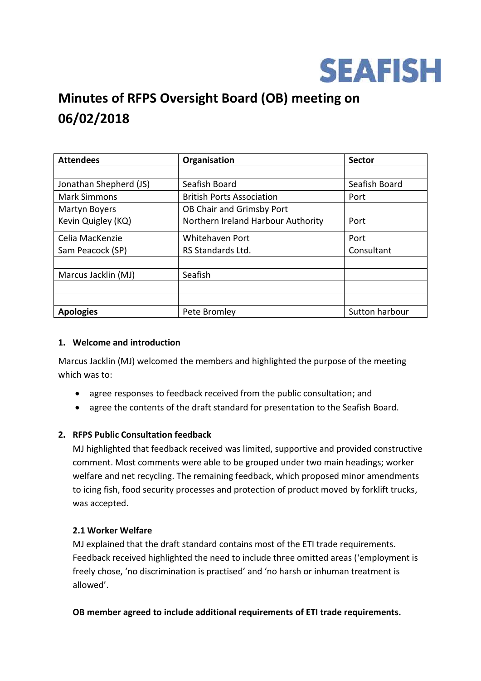

# **Minutes of RFPS Oversight Board (OB) meeting on 06/02/2018**

| <b>Attendees</b>       | Organisation                       | <b>Sector</b>  |
|------------------------|------------------------------------|----------------|
|                        |                                    |                |
| Jonathan Shepherd (JS) | Seafish Board                      | Seafish Board  |
| <b>Mark Simmons</b>    | <b>British Ports Association</b>   | Port           |
| Martyn Boyers          | OB Chair and Grimsby Port          |                |
| Kevin Quigley (KQ)     | Northern Ireland Harbour Authority | Port           |
| Celia MacKenzie        | Whitehaven Port                    | Port           |
| Sam Peacock (SP)       | RS Standards Ltd.                  | Consultant     |
|                        |                                    |                |
| Marcus Jacklin (MJ)    | Seafish                            |                |
|                        |                                    |                |
|                        |                                    |                |
| <b>Apologies</b>       | Pete Bromley                       | Sutton harbour |

#### **1. Welcome and introduction**

Marcus Jacklin (MJ) welcomed the members and highlighted the purpose of the meeting which was to:

- agree responses to feedback received from the public consultation; and
- agree the contents of the draft standard for presentation to the Seafish Board.

#### **2. RFPS Public Consultation feedback**

MJ highlighted that feedback received was limited, supportive and provided constructive comment. Most comments were able to be grouped under two main headings; worker welfare and net recycling. The remaining feedback, which proposed minor amendments to icing fish, food security processes and protection of product moved by forklift trucks, was accepted.

#### **2.1 Worker Welfare**

MJ explained that the draft standard contains most of the ETI trade requirements. Feedback received highlighted the need to include three omitted areas ('employment is freely chose, 'no discrimination is practised' and 'no harsh or inhuman treatment is allowed'.

**OB member agreed to include additional requirements of ETI trade requirements.**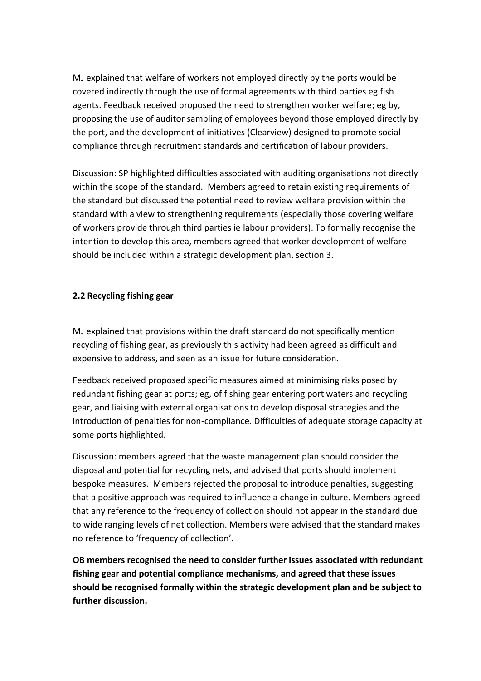MJ explained that welfare of workers not employed directly by the ports would be covered indirectly through the use of formal agreements with third parties eg fish agents. Feedback received proposed the need to strengthen worker welfare; eg by, proposing the use of auditor sampling of employees beyond those employed directly by the port, and the development of initiatives (Clearview) designed to promote social compliance through recruitment standards and certification of labour providers.

Discussion: SP highlighted difficulties associated with auditing organisations not directly within the scope of the standard. Members agreed to retain existing requirements of the standard but discussed the potential need to review welfare provision within the standard with a view to strengthening requirements (especially those covering welfare of workers provide through third parties ie labour providers). To formally recognise the intention to develop this area, members agreed that worker development of welfare should be included within a strategic development plan, section 3.

## **2.2 Recycling fishing gear**

MJ explained that provisions within the draft standard do not specifically mention recycling of fishing gear, as previously this activity had been agreed as difficult and expensive to address, and seen as an issue for future consideration.

Feedback received proposed specific measures aimed at minimising risks posed by redundant fishing gear at ports; eg, of fishing gear entering port waters and recycling gear, and liaising with external organisations to develop disposal strategies and the introduction of penalties for non-compliance. Difficulties of adequate storage capacity at some ports highlighted.

Discussion: members agreed that the waste management plan should consider the disposal and potential for recycling nets, and advised that ports should implement bespoke measures. Members rejected the proposal to introduce penalties, suggesting that a positive approach was required to influence a change in culture. Members agreed that any reference to the frequency of collection should not appear in the standard due to wide ranging levels of net collection. Members were advised that the standard makes no reference to 'frequency of collection'.

**OB members recognised the need to consider further issues associated with redundant fishing gear and potential compliance mechanisms, and agreed that these issues should be recognised formally within the strategic development plan and be subject to further discussion.**